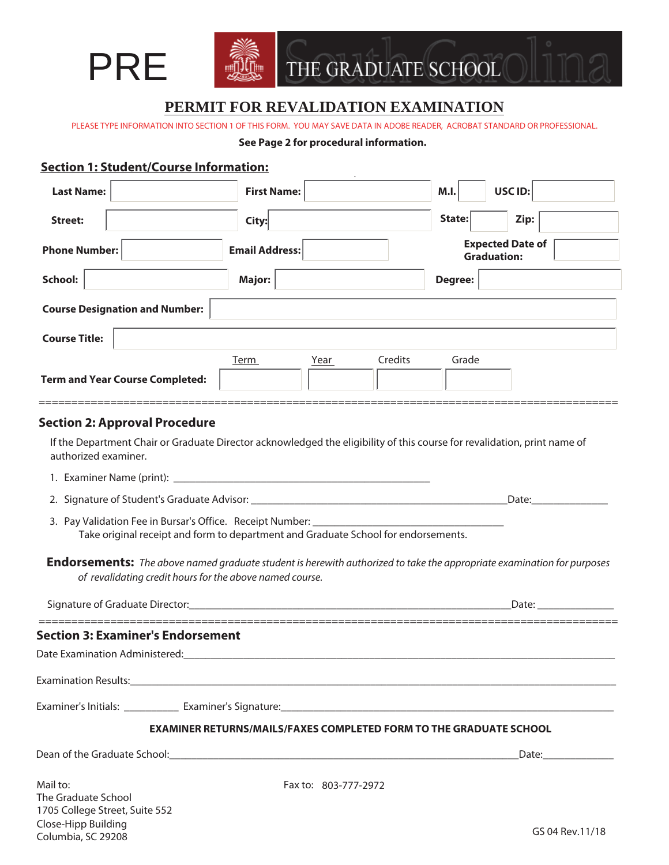

Close-Hipp Building Columbia, SC 29208



# **PERMIT FOR REVALIDATION EXAMINATION**

PLEASE TYPE INFORMATION INTO SECTION 1 OF THIS FORM. YOU MAY SAVE DATA IN ADOBE READER, ACROBAT STANDARD OR PROFESSIONAL.

#### **See Page 2 for procedural information.**

### **Section 1: Student/Course Information:**

| <b>Last Name:</b>                                                 | <b>First Name:</b>                                                                 | USC ID:<br>M.I.                                                                                                                                                                                                               |
|-------------------------------------------------------------------|------------------------------------------------------------------------------------|-------------------------------------------------------------------------------------------------------------------------------------------------------------------------------------------------------------------------------|
| <b>Street:</b>                                                    | City:                                                                              | State:<br>Zip:                                                                                                                                                                                                                |
| <b>Phone Number:</b>                                              | <b>Email Address:</b>                                                              | <b>Expected Date of</b><br><b>Graduation:</b>                                                                                                                                                                                 |
| School:                                                           | <b>Major:</b>                                                                      | Degree:                                                                                                                                                                                                                       |
| <b>Course Designation and Number:</b>                             |                                                                                    |                                                                                                                                                                                                                               |
| <b>Course Title:</b>                                              |                                                                                    |                                                                                                                                                                                                                               |
|                                                                   | Year<br>Term                                                                       | Credits<br>Grade                                                                                                                                                                                                              |
| <b>Term and Year Course Completed:</b>                            |                                                                                    |                                                                                                                                                                                                                               |
| <b>Section 2: Approval Procedure</b>                              |                                                                                    |                                                                                                                                                                                                                               |
| authorized examiner.                                              |                                                                                    | If the Department Chair or Graduate Director acknowledged the eligibility of this course for revalidation, print name of                                                                                                      |
|                                                                   |                                                                                    |                                                                                                                                                                                                                               |
|                                                                   |                                                                                    | Date: Date:                                                                                                                                                                                                                   |
|                                                                   | Take original receipt and form to department and Graduate School for endorsements. |                                                                                                                                                                                                                               |
|                                                                   | of revalidating credit hours for the above named course.                           | <b>Endorsements:</b> The above named graduate student is herewith authorized to take the appropriate examination for purposes                                                                                                 |
|                                                                   |                                                                                    | Date: and the state of the state of the state of the state of the state of the state of the state of the state of the state of the state of the state of the state of the state of the state of the state of the state of the |
| <b>Section 3: Examiner's Endorsement</b>                          |                                                                                    |                                                                                                                                                                                                                               |
| Date Examination Administered:                                    |                                                                                    |                                                                                                                                                                                                                               |
|                                                                   |                                                                                    |                                                                                                                                                                                                                               |
|                                                                   |                                                                                    |                                                                                                                                                                                                                               |
|                                                                   |                                                                                    | <b>EXAMINER RETURNS/MAILS/FAXES COMPLETED FORM TO THE GRADUATE SCHOOL</b>                                                                                                                                                     |
|                                                                   |                                                                                    |                                                                                                                                                                                                                               |
| Mail to:<br>The Graduate School<br>1705 College Street, Suite 552 | Fax to: 803-777-2972                                                               |                                                                                                                                                                                                                               |